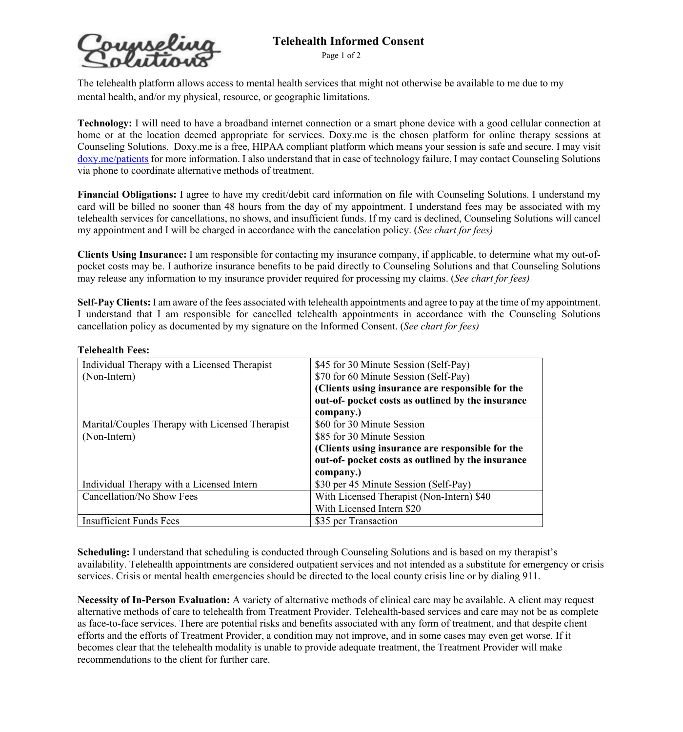Page 1 of 2

**Counselina** Telehealth Informed Consent

The telehealth platform allows access to mental health services that might not otherwise be available to me due to my mental health, and/or my physical, resource, or geographic limitations.

**Technology:** I will need to have a broadband internet connection or a smart phone device with a good cellular connection at home or at the location deemed appropriate for services. Doxy.me is the chosen platform for online therapy sessions at Counseling Solutions. Doxy.me is a free, HIPAA compliant platform which means your session is safe and secure. I may visit doxy.me/patients for more information. I also understand that in case of technology failure, I may contact Counseling Solutions via phone to coordinate alternative methods of treatment.

**Financial Obligations:** I agree to have my credit/debit card information on file with Counseling Solutions. I understand my card will be billed no sooner than 48 hours from the day of my appointment. I understand fees may be associated with my telehealth services for cancellations, no shows, and insufficient funds. If my card is declined, Counseling Solutions will cancel my appointment and I will be charged in accordance with the cancelation policy. (*See chart for fees)*

**Clients Using Insurance:** I am responsible for contacting my insurance company, if applicable, to determine what my out-ofpocket costs may be. I authorize insurance benefits to be paid directly to Counseling Solutions and that Counseling Solutions may release any information to my insurance provider required for processing my claims. (*See chart for fees)*

**Self-Pay Clients:** I am aware of the fees associated with telehealth appointments and agree to pay at the time of my appointment. I understand that I am responsible for cancelled telehealth appointments in accordance with the Counseling Solutions cancellation policy as documented by my signature on the Informed Consent. (*See chart for fees)*

| <b>Telehealth Fees:</b> |  |
|-------------------------|--|
|-------------------------|--|

| Individual Therapy with a Licensed Therapist    | \$45 for 30 Minute Session (Self-Pay)             |
|-------------------------------------------------|---------------------------------------------------|
| (Non-Intern)                                    | \$70 for 60 Minute Session (Self-Pay)             |
|                                                 | (Clients using insurance are responsible for the  |
|                                                 | out-of- pocket costs as outlined by the insurance |
|                                                 | company.)                                         |
| Marital/Couples Therapy with Licensed Therapist | \$60 for 30 Minute Session                        |
| (Non-Intern)                                    | \$85 for 30 Minute Session                        |
|                                                 | (Clients using insurance are responsible for the  |
|                                                 | out-of- pocket costs as outlined by the insurance |
|                                                 | company.)                                         |
| Individual Therapy with a Licensed Intern       | \$30 per 45 Minute Session (Self-Pay)             |
| Cancellation/No Show Fees                       | With Licensed Therapist (Non-Intern) \$40         |
|                                                 | With Licensed Intern \$20                         |
| <b>Insufficient Funds Fees</b>                  | \$35 per Transaction                              |

**Scheduling:** I understand that scheduling is conducted through Counseling Solutions and is based on my therapist's availability. Telehealth appointments are considered outpatient services and not intended as a substitute for emergency or crisis services. Crisis or mental health emergencies should be directed to the local county crisis line or by dialing 911.

**Necessity of In-Person Evaluation:** A variety of alternative methods of clinical care may be available. A client may request alternative methods of care to telehealth from Treatment Provider. Telehealth-based services and care may not be as complete as face-to-face services. There are potential risks and benefits associated with any form of treatment, and that despite client efforts and the efforts of Treatment Provider, a condition may not improve, and in some cases may even get worse. If it becomes clear that the telehealth modality is unable to provide adequate treatment, the Treatment Provider will make recommendations to the client for further care.